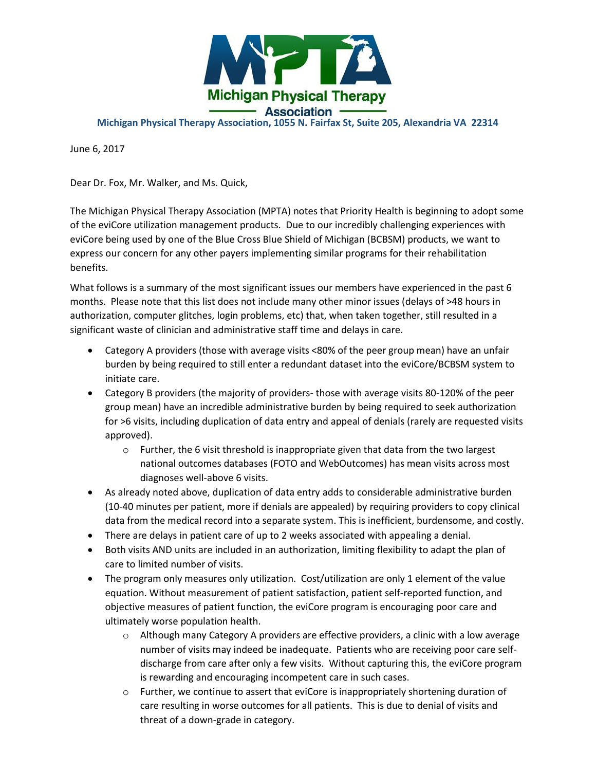

## **Michigan Physical Therapy Association, 1055 N. Fairfax St, Suite 205, Alexandria VA 22314**

June 6, 2017

Dear Dr. Fox, Mr. Walker, and Ms. Quick,

The Michigan Physical Therapy Association (MPTA) notes that Priority Health is beginning to adopt some of the eviCore utilization management products. Due to our incredibly challenging experiences with eviCore being used by one of the Blue Cross Blue Shield of Michigan (BCBSM) products, we want to express our concern for any other payers implementing similar programs for their rehabilitation benefits.

What follows is a summary of the most significant issues our members have experienced in the past 6 months. Please note that this list does not include many other minor issues (delays of >48 hours in authorization, computer glitches, login problems, etc) that, when taken together, still resulted in a significant waste of clinician and administrative staff time and delays in care.

- Category A providers (those with average visits <80% of the peer group mean) have an unfair burden by being required to still enter a redundant dataset into the eviCore/BCBSM system to initiate care.
- Category B providers (the majority of providers- those with average visits 80-120% of the peer group mean) have an incredible administrative burden by being required to seek authorization for >6 visits, including duplication of data entry and appeal of denials (rarely are requested visits approved).
	- $\circ$  Further, the 6 visit threshold is inappropriate given that data from the two largest national outcomes databases (FOTO and WebOutcomes) has mean visits across most diagnoses well-above 6 visits.
- As already noted above, duplication of data entry adds to considerable administrative burden (10-40 minutes per patient, more if denials are appealed) by requiring providers to copy clinical data from the medical record into a separate system. This is inefficient, burdensome, and costly.
- There are delays in patient care of up to 2 weeks associated with appealing a denial.
- Both visits AND units are included in an authorization, limiting flexibility to adapt the plan of care to limited number of visits.
- The program only measures only utilization. Cost/utilization are only 1 element of the value equation. Without measurement of patient satisfaction, patient self-reported function, and objective measures of patient function, the eviCore program is encouraging poor care and ultimately worse population health.
	- o Although many Category A providers are effective providers, a clinic with a low average number of visits may indeed be inadequate. Patients who are receiving poor care selfdischarge from care after only a few visits. Without capturing this, the eviCore program is rewarding and encouraging incompetent care in such cases.
	- $\circ$  Further, we continue to assert that eviCore is inappropriately shortening duration of care resulting in worse outcomes for all patients. This is due to denial of visits and threat of a down-grade in category.